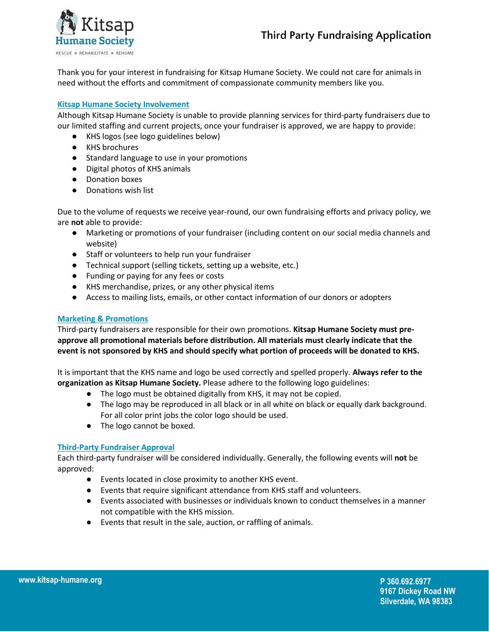



Thank you for your interest in fundraising for Kitsap Humane Society. We could not care for animals in need without the efforts and commitment of compassionate community members like you.

## **Kitsap Humane Society Involvement**

Although Kitsap Humane Society is unable to provide planning services for third-party fundraisers due to our limited staffing and current projects, once your fundraiser is approved, we are happy to provide:

- KHS logos (see logo guidelines below)
- KHS brochures
- Standard language to use in your promotions
- Digital photos of KHS animals
- Donation boxes
- Donations wish list

Due to the volume of requests we receive year-round, our own fundraising efforts and privacy policy, we are **not** able to provide:

- Marketing or promotions of your fundraiser (including content on our social media channels and website)
- Staff or volunteers to help run your fundraiser
- Technical support (selling tickets, setting up a website, etc.)
- Funding or paying for any fees or costs
- KHS merchandise, prizes, or any other physical items
- Access to mailing lists, emails, or other contact information of our donors or adopters

# **Marketing & Promotions**

Third-party fundraisers are responsible for their own promotions. **Kitsap Humane Society must preapprove all promotional materials before distribution. All materials must clearly indicate that the event is not sponsored by KHS and should specify what portion of proceeds will be donated to KHS.**

It is important that the KHS name and logo be used correctly and spelled properly. **Always refer to the organization as Kitsap Humane Society.** Please adhere to the following logo guidelines:

- The logo must be obtained digitally from KHS, it may not be copied.
- The logo may be reproduced in all black or in all white on black or equally dark background. For all color print jobs the color logo should be used.
- The logo cannot be boxed.

# **Third-Party Fundraiser Approval**

Each third-party fundraiser will be considered individually. Generally, the following events will **not** be approved:

- Events located in close proximity to another KHS event.
- Events that require significant attendance from KHS staff and volunteers.
- Events associated with businesses or individuals known to conduct themselves in a manner not compatible with the KHS mission.
- Events that result in the sale, auction, or raffling of animals.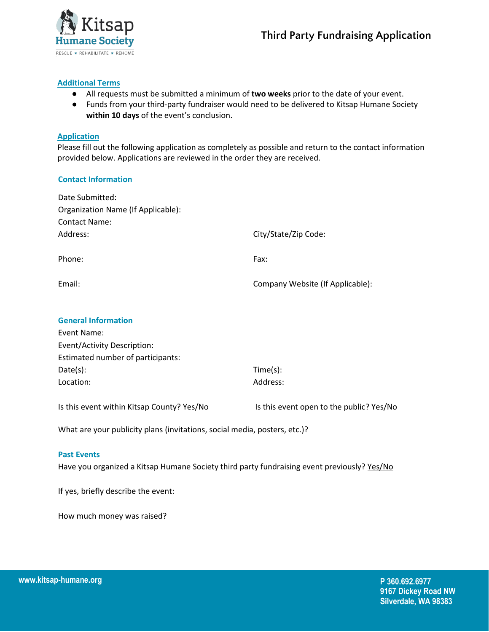

## **Additional Terms**

- All requests must be submitted a minimum of **two weeks** prior to the date of your event.
- Funds from your third-party fundraiser would need to be delivered to Kitsap Humane Society **within 10 days** of the event's conclusion.

### **Application**

Please fill out the following application as completely as possible and return to the contact information provided below. Applications are reviewed in the order they are received.

## **Contact Information**

| Date Submitted:<br>Organization Name (If Applicable): |                                          |
|-------------------------------------------------------|------------------------------------------|
| <b>Contact Name:</b><br>Address:                      |                                          |
|                                                       | City/State/Zip Code:                     |
| Phone:                                                | Fax:                                     |
| Email:                                                | Company Website (If Applicable):         |
| <b>General Information</b>                            |                                          |
| Event Name:                                           |                                          |
| <b>Event/Activity Description:</b>                    |                                          |
| Estimated number of participants:                     |                                          |
| Date(s):                                              | Time(s):                                 |
| Location:                                             | Address:                                 |
| Is this event within Kitsap County? Yes/No            | Is this event open to the public? Yes/No |

What are your publicity plans (invitations, social media, posters, etc.)?

#### **Past Events**

Have you organized a Kitsap Humane Society third party fundraising event previously? Yes/No

If yes, briefly describe the event:

How much money was raised?